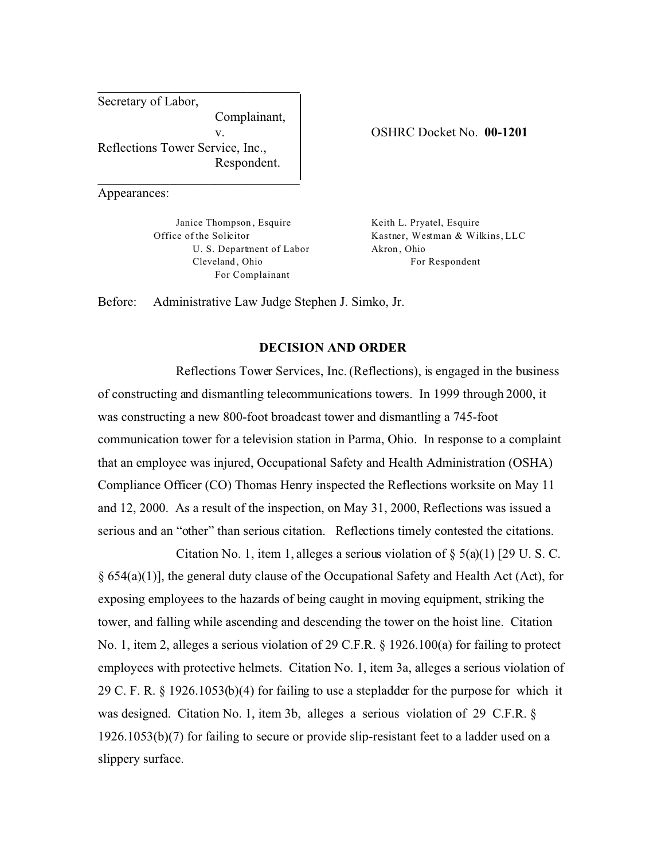Secretary of Labor, Complainant, v. Reflections Tower Service, Inc., Respondent.

\_\_\_\_\_\_\_\_\_\_\_\_\_\_\_\_\_\_\_\_\_\_\_\_\_\_\_\_\_\_\_

\_\_\_\_\_\_\_\_\_\_\_\_\_\_\_\_\_\_\_\_\_\_\_\_\_\_\_\_\_\_\_

Appearances:

Janice Thompson , Esquire Office of the Solicitor U. S. Department of Labor Cleveland , Ohio For Complainant

OSHRC Docket No. **00-1201** 

Keith L. Pryatel, Esquire Kastner, Westman & Wilkins, LLC Akron , Ohio For Respondent

Before: Administrative Law Judge Stephen J. Simko, Jr.

### **DECISION AND ORDER**

Reflections Tower Services, Inc. (Reflections), is engaged in the business of constructing and dismantling telecommunications towers. In 1999 through 2000, it was constructing a new 800-foot broadcast tower and dismantling a 745-foot communication tower for a television station in Parma, Ohio. In response to a complaint that an employee was injured, Occupational Safety and Health Administration (OSHA) Compliance Officer (CO) Thomas Henry inspected the Reflections worksite on May 11 and 12, 2000. As a result of the inspection, on May 31, 2000, Reflections was issued a serious and an "other" than serious citation. Reflections timely contested the citations.

Citation No. 1, item 1, alleges a serious violation of  $\S$  5(a)(1) [29 U. S. C. § 654(a)(1)], the general duty clause of the Occupational Safety and Health Act (Act), for exposing employees to the hazards of being caught in moving equipment, striking the tower, and falling while ascending and descending the tower on the hoist line. Citation No. 1, item 2, alleges a serious violation of 29 C.F.R. § 1926.100(a) for failing to protect employees with protective helmets. Citation No. 1, item 3a, alleges a serious violation of 29 C. F. R. § 1926.1053(b)(4) for failing to use a stepladder for the purpose for which it was designed. Citation No. 1, item 3b, alleges a serious violation of 29 C.F.R. § 1926.1053(b)(7) for failing to secure or provide slip-resistant feet to a ladder used on a slippery surface.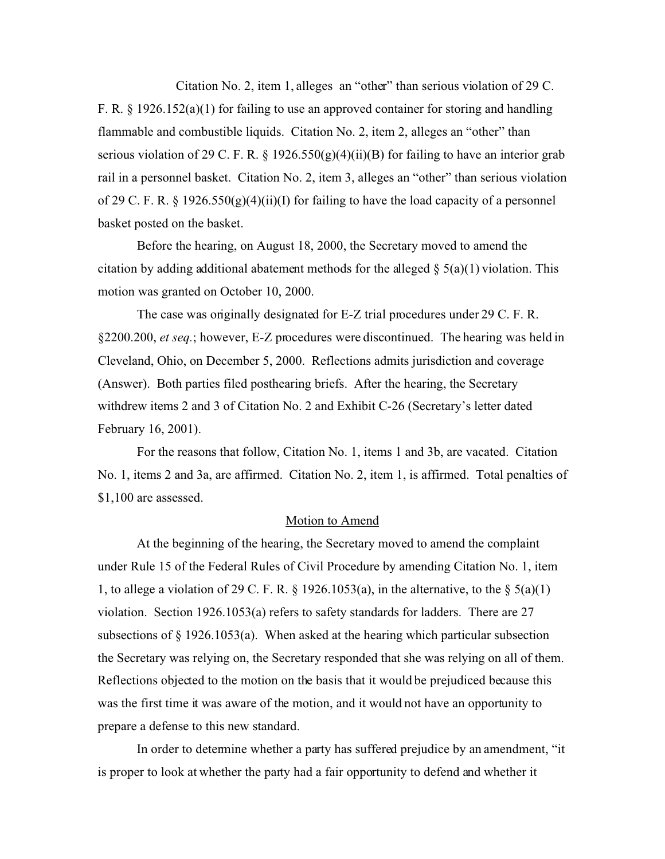Citation No. 2, item 1, alleges an "other" than serious violation of 29 C. F. R. § 1926.152(a)(1) for failing to use an approved container for storing and handling flammable and combustible liquids. Citation No. 2, item 2, alleges an "other" than serious violation of 29 C. F. R. § 1926.550(g)(4)(ii)(B) for failing to have an interior grab rail in a personnel basket. Citation No. 2, item 3, alleges an "other" than serious violation of 29 C. F. R. § 1926.550(g)(4)(ii)(I) for failing to have the load capacity of a personnel basket posted on the basket.

Before the hearing, on August 18, 2000, the Secretary moved to amend the citation by adding additional abatement methods for the alleged  $\S(2a)(1)$  violation. This motion was granted on October 10, 2000.

The case was originally designated for E-Z trial procedures under 29 C. F. R. §2200.200, *et seq.*; however, E-Z procedures were discontinued. The hearing was held in Cleveland, Ohio, on December 5, 2000. Reflections admits jurisdiction and coverage (Answer). Both parties filed posthearing briefs. After the hearing, the Secretary withdrew items 2 and 3 of Citation No. 2 and Exhibit C-26 (Secretary's letter dated February 16, 2001).

For the reasons that follow, Citation No. 1, items 1 and 3b, are vacated. Citation No. 1, items 2 and 3a, are affirmed. Citation No. 2, item 1, is affirmed. Total penalties of \$1,100 are assessed.

#### Motion to Amend

At the beginning of the hearing, the Secretary moved to amend the complaint under Rule 15 of the Federal Rules of Civil Procedure by amending Citation No. 1, item 1, to allege a violation of 29 C. F. R.  $\S$  1926.1053(a), in the alternative, to the  $\S$  5(a)(1) violation. Section 1926.1053(a) refers to safety standards for ladders. There are 27 subsections of § 1926.1053(a). When asked at the hearing which particular subsection the Secretary was relying on, the Secretary responded that she was relying on all of them. Reflections objected to the motion on the basis that it would be prejudiced because this was the first time it was aware of the motion, and it would not have an opportunity to prepare a defense to this new standard.

In order to determine whether a party has suffered prejudice by an amendment, "it is proper to look at whether the party had a fair opportunity to defend and whether it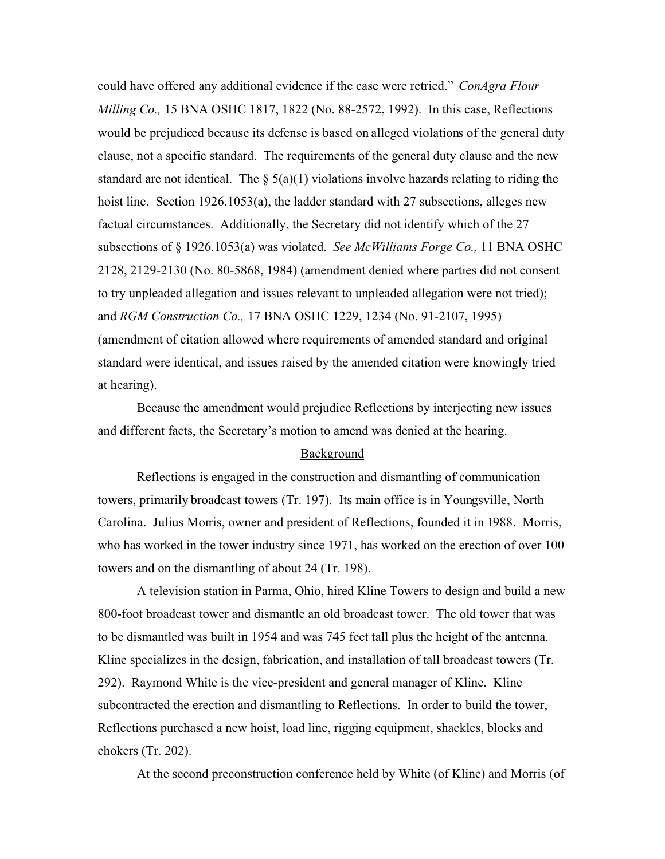could have offered any additional evidence if the case were retried." *ConAgra Flour Milling Co.,* 15 BNA OSHC 1817, 1822 (No. 88-2572, 1992). In this case, Reflections would be prejudiced because its defense is based on alleged violations of the general duty clause, not a specific standard. The requirements of the general duty clause and the new standard are not identical. The  $\S(3a)(1)$  violations involve hazards relating to riding the hoist line. Section 1926.1053(a), the ladder standard with 27 subsections, alleges new factual circumstances. Additionally, the Secretary did not identify which of the 27 subsections of § 1926.1053(a) was violated. *See McWilliams Forge Co.,* 11 BNA OSHC 2128, 2129-2130 (No. 80-5868, 1984) (amendment denied where parties did not consent to try unpleaded allegation and issues relevant to unpleaded allegation were not tried); and *RGM Construction Co.,* 17 BNA OSHC 1229, 1234 (No. 91-2107, 1995) (amendment of citation allowed where requirements of amended standard and original standard were identical, and issues raised by the amended citation were knowingly tried at hearing).

Because the amendment would prejudice Reflections by interjecting new issues and different facts, the Secretary's motion to amend was denied at the hearing.

## Background

Reflections is engaged in the construction and dismantling of communication towers, primarily broadcast towers (Tr. 197). Its main office is in Youngsville, North Carolina. Julius Morris, owner and president of Reflections, founded it in 1988. Morris, who has worked in the tower industry since 1971, has worked on the erection of over 100 towers and on the dismantling of about 24 (Tr. 198).

A television station in Parma, Ohio, hired Kline Towers to design and build a new 800-foot broadcast tower and dismantle an old broadcast tower. The old tower that was to be dismantled was built in 1954 and was 745 feet tall plus the height of the antenna. Kline specializes in the design, fabrication, and installation of tall broadcast towers (Tr. 292). Raymond White is the vice-president and general manager of Kline. Kline subcontracted the erection and dismantling to Reflections. In order to build the tower, Reflections purchased a new hoist, load line, rigging equipment, shackles, blocks and chokers (Tr. 202).

At the second preconstruction conference held by White (of Kline) and Morris (of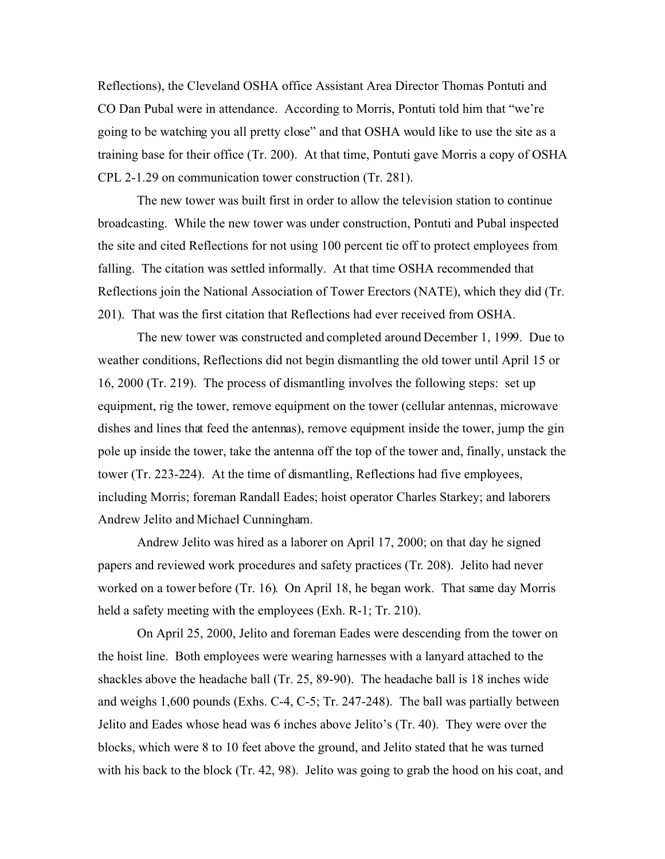Reflections), the Cleveland OSHA office Assistant Area Director Thomas Pontuti and CO Dan Pubal were in attendance. According to Morris, Pontuti told him that "we're going to be watching you all pretty close" and that OSHA would like to use the site as a training base for their office (Tr. 200). At that time, Pontuti gave Morris a copy of OSHA CPL 2-1.29 on communication tower construction (Tr. 281).

The new tower was built first in order to allow the television station to continue broadcasting. While the new tower was under construction, Pontuti and Pubal inspected the site and cited Reflections for not using 100 percent tie off to protect employees from falling. The citation was settled informally. At that time OSHA recommended that Reflections join the National Association of Tower Erectors (NATE), which they did (Tr. 201). That was the first citation that Reflections had ever received from OSHA.

The new tower was constructed and completed around December 1, 1999. Due to weather conditions, Reflections did not begin dismantling the old tower until April 15 or 16, 2000 (Tr. 219). The process of dismantling involves the following steps: set up equipment, rig the tower, remove equipment on the tower (cellular antennas, microwave dishes and lines that feed the antennas), remove equipment inside the tower, jump the gin pole up inside the tower, take the antenna off the top of the tower and, finally, unstack the tower (Tr. 223-224). At the time of dismantling, Reflections had five employees, including Morris; foreman Randall Eades; hoist operator Charles Starkey; and laborers Andrew Jelito and Michael Cunningham.

Andrew Jelito was hired as a laborer on April 17, 2000; on that day he signed papers and reviewed work procedures and safety practices (Tr. 208). Jelito had never worked on a tower before (Tr. 16). On April 18, he began work. That same day Morris held a safety meeting with the employees (Exh. R-1; Tr. 210).

On April 25, 2000, Jelito and foreman Eades were descending from the tower on the hoist line. Both employees were wearing harnesses with a lanyard attached to the shackles above the headache ball (Tr. 25, 89-90). The headache ball is 18 inches wide and weighs 1,600 pounds (Exhs. C-4, C-5; Tr. 247-248). The ball was partially between Jelito and Eades whose head was 6 inches above Jelito's (Tr. 40). They were over the blocks, which were 8 to 10 feet above the ground, and Jelito stated that he was turned with his back to the block (Tr. 42, 98). Jelito was going to grab the hood on his coat, and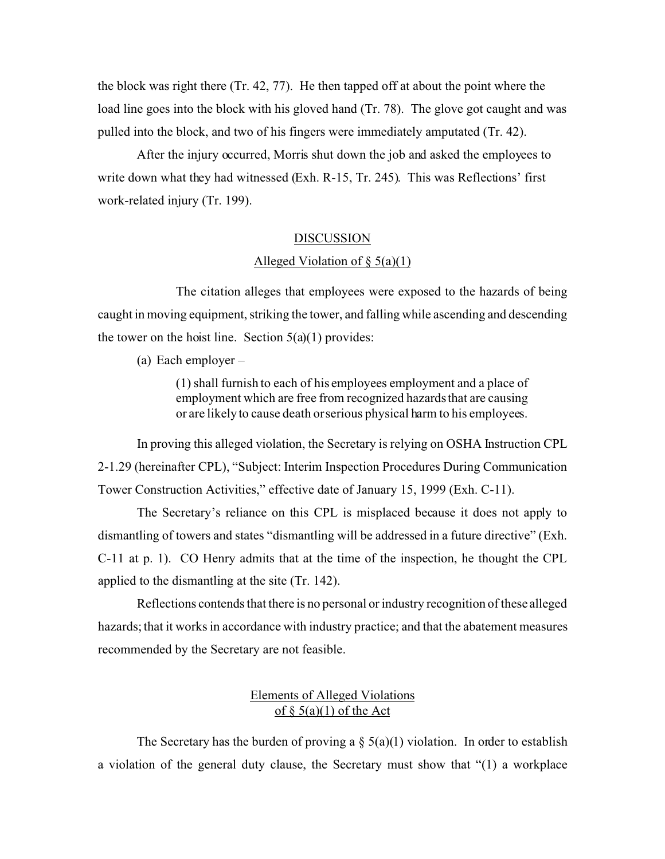the block was right there (Tr. 42, 77). He then tapped off at about the point where the load line goes into the block with his gloved hand (Tr. 78). The glove got caught and was pulled into the block, and two of his fingers were immediately amputated (Tr. 42).

After the injury occurred, Morris shut down the job and asked the employees to write down what they had witnessed (Exh. R-15, Tr. 245). This was Reflections' first work-related injury (Tr. 199).

#### DISCUSSION

### Alleged Violation of  $\S$  5(a)(1)

The citation alleges that employees were exposed to the hazards of being caught in moving equipment, striking the tower, and falling while ascending and descending the tower on the hoist line. Section  $5(a)(1)$  provides:

(a) Each employer –

(1) shall furnish to each of his employees employment and a place of employment which are free from recognized hazards that are causing or are likely to cause death orserious physical harm to his employees.

In proving this alleged violation, the Secretary is relying on OSHA Instruction CPL 2-1.29 (hereinafter CPL), "Subject: Interim Inspection Procedures During Communication Tower Construction Activities," effective date of January 15, 1999 (Exh. C-11).

The Secretary's reliance on this CPL is misplaced because it does not apply to dismantling of towers and states "dismantling will be addressed in a future directive" (Exh. C-11 at p. 1). CO Henry admits that at the time of the inspection, he thought the CPL applied to the dismantling at the site (Tr. 142).

Reflections contends that there is no personal or industry recognition of these alleged hazards; that it works in accordance with industry practice; and that the abatement measures recommended by the Secretary are not feasible.

### Elements of Alleged Violations of  $\S$  5(a)(1) of the Act

The Secretary has the burden of proving a  $\S$  5(a)(1) violation. In order to establish a violation of the general duty clause, the Secretary must show that "(1) a workplace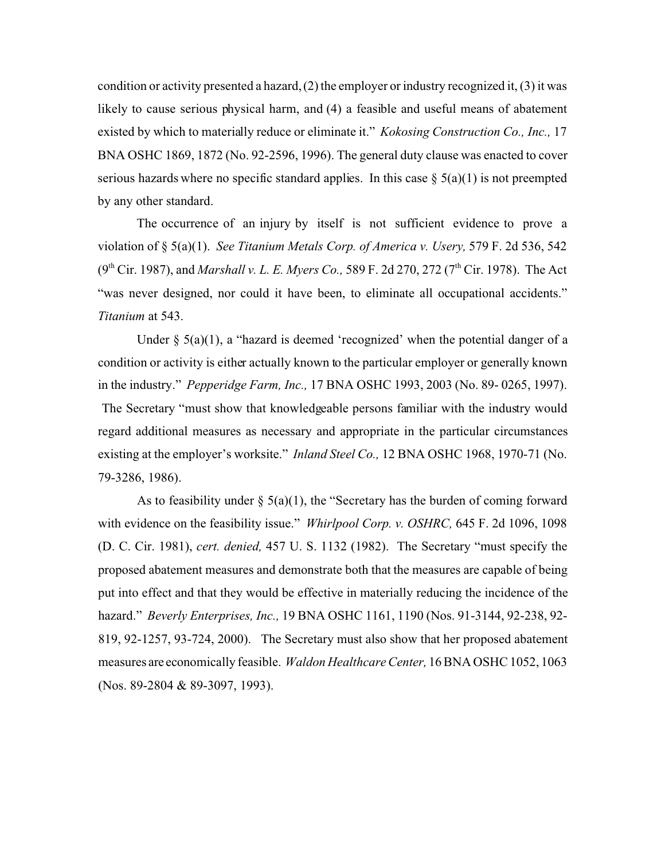condition or activity presented a hazard,  $(2)$  the employer or industry recognized it,  $(3)$  it was likely to cause serious physical harm, and (4) a feasible and useful means of abatement existed by which to materially reduce or eliminate it." *Kokosing Construction Co., Inc.,* 17 BNA OSHC 1869, 1872 (No. 92-2596, 1996). The general duty clause was enacted to cover serious hazards where no specific standard applies. In this case  $\S(3a)(1)$  is not preempted by any other standard.

The occurrence of an injury by itself is not sufficient evidence to prove a violation of § 5(a)(1). *See Titanium Metals Corp. of America v. Usery,* 579 F. 2d 536, 542 (9<sup>th</sup> Cir. 1987), and *Marshall v. L. E. Myers Co.*, 589 F. 2d 270, 272 (7<sup>th</sup> Cir. 1978). The Act "was never designed, nor could it have been, to eliminate all occupational accidents." *Titanium* at 543.

Under  $\S$  5(a)(1), a "hazard is deemed 'recognized' when the potential danger of a condition or activity is either actually known to the particular employer or generally known in the industry." *Pepperidge Farm, Inc.,* 17 BNA OSHC 1993, 2003 (No. 89- 0265, 1997). The Secretary "must show that knowledgeable persons familiar with the industry would regard additional measures as necessary and appropriate in the particular circumstances existing at the employer's worksite." *Inland Steel Co.,* 12 BNA OSHC 1968, 1970-71 (No. 79-3286, 1986).

As to feasibility under  $\S$  5(a)(1), the "Secretary has the burden of coming forward with evidence on the feasibility issue." *Whirlpool Corp. v. OSHRC,* 645 F. 2d 1096, 1098 (D. C. Cir. 1981), *cert. denied,* 457 U. S. 1132 (1982). The Secretary "must specify the proposed abatement measures and demonstrate both that the measures are capable of being put into effect and that they would be effective in materially reducing the incidence of the hazard." *Beverly Enterprises, Inc.,* 19 BNA OSHC 1161, 1190 (Nos. 91-3144, 92-238, 92- 819, 92-1257, 93-724, 2000). The Secretary must also show that her proposed abatement measures are economically feasible. *Waldon Healthcare Center,* 16 BNA OSHC 1052, 1063 (Nos. 89-2804 & 89-3097, 1993).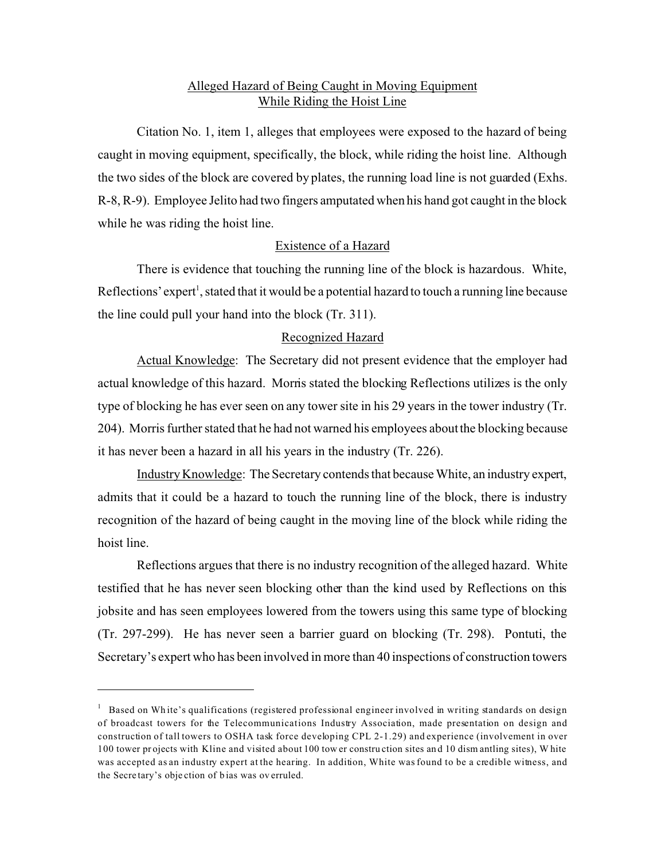## Alleged Hazard of Being Caught in Moving Equipment While Riding the Hoist Line

Citation No. 1, item 1, alleges that employees were exposed to the hazard of being caught in moving equipment, specifically, the block, while riding the hoist line. Although the two sides of the block are covered by plates, the running load line is not guarded (Exhs. R-8, R-9). Employee Jelito had two fingers amputated when his hand got caught in the block while he was riding the hoist line.

# Existence of a Hazard

There is evidence that touching the running line of the block is hazardous. White, Reflections' expert<sup>1</sup>, stated that it would be a potential hazard to touch a running line because the line could pull your hand into the block (Tr. 311).

## Recognized Hazard

Actual Knowledge: The Secretary did not present evidence that the employer had actual knowledge of this hazard. Morris stated the blocking Reflections utilizes is the only type of blocking he has ever seen on any tower site in his 29 years in the tower industry (Tr. 204). Morris further stated that he had not warned his employees about the blocking because it has never been a hazard in all his years in the industry (Tr. 226).

Industry Knowledge: The Secretary contends that because White, an industry expert, admits that it could be a hazard to touch the running line of the block, there is industry recognition of the hazard of being caught in the moving line of the block while riding the hoist line.

Reflections argues that there is no industry recognition of the alleged hazard. White testified that he has never seen blocking other than the kind used by Reflections on this jobsite and has seen employees lowered from the towers using this same type of blocking (Tr. 297-299). He has never seen a barrier guard on blocking (Tr. 298). Pontuti, the Secretary's expert who has been involved in more than 40 inspections of construction towers

 $1$  Based on White's qualifications (registered professional engineer involved in writing standards on design of broadcast towers for the Telecommunications Industry Association, made presentation on design and construction of tall towers to OSHA task force developing CPL 2-1.29) and experience (involvement in over 100 tower pr ojects with Kline and visited about 100 tow er constru ction sites an d 10 dism antling sites), W hite was accepted as an industry expert at the hearing. In addition, White was found to be a credible witness, and the Secre tary's obje ction of b ias was ov erruled.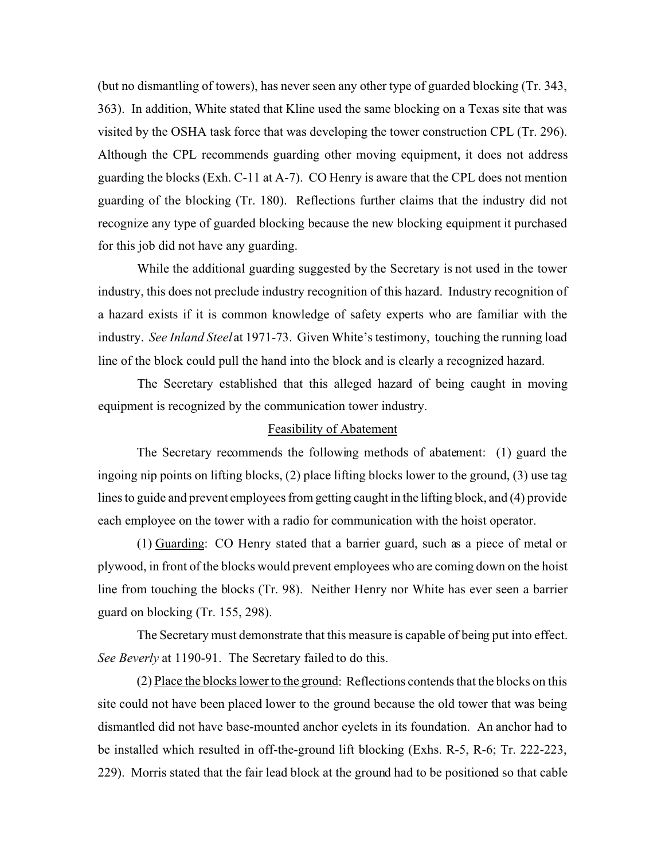(but no dismantling of towers), has never seen any other type of guarded blocking (Tr. 343, 363). In addition, White stated that Kline used the same blocking on a Texas site that was visited by the OSHA task force that was developing the tower construction CPL (Tr. 296). Although the CPL recommends guarding other moving equipment, it does not address guarding the blocks (Exh. C-11 at A-7). CO Henry is aware that the CPL does not mention guarding of the blocking (Tr. 180). Reflections further claims that the industry did not recognize any type of guarded blocking because the new blocking equipment it purchased for this job did not have any guarding.

While the additional guarding suggested by the Secretary is not used in the tower industry, this does not preclude industry recognition of this hazard. Industry recognition of a hazard exists if it is common knowledge of safety experts who are familiar with the industry. *See Inland Steel* at 1971-73. Given White's testimony, touching the running load line of the block could pull the hand into the block and is clearly a recognized hazard.

The Secretary established that this alleged hazard of being caught in moving equipment is recognized by the communication tower industry.

### Feasibility of Abatement

The Secretary recommends the following methods of abatement: (1) guard the ingoing nip points on lifting blocks, (2) place lifting blocks lower to the ground, (3) use tag lines to guide and prevent employees from getting caught in the lifting block, and (4) provide each employee on the tower with a radio for communication with the hoist operator.

(1) Guarding: CO Henry stated that a barrier guard, such as a piece of metal or plywood, in front of the blocks would prevent employees who are coming down on the hoist line from touching the blocks (Tr. 98). Neither Henry nor White has ever seen a barrier guard on blocking (Tr. 155, 298).

The Secretary must demonstrate that this measure is capable of being put into effect. *See Beverly* at 1190-91. The Secretary failed to do this.

(2) Place the blocks lower to the ground: Reflections contends that the blocks on this site could not have been placed lower to the ground because the old tower that was being dismantled did not have base-mounted anchor eyelets in its foundation. An anchor had to be installed which resulted in off-the-ground lift blocking (Exhs. R-5, R-6; Tr. 222-223, 229). Morris stated that the fair lead block at the ground had to be positioned so that cable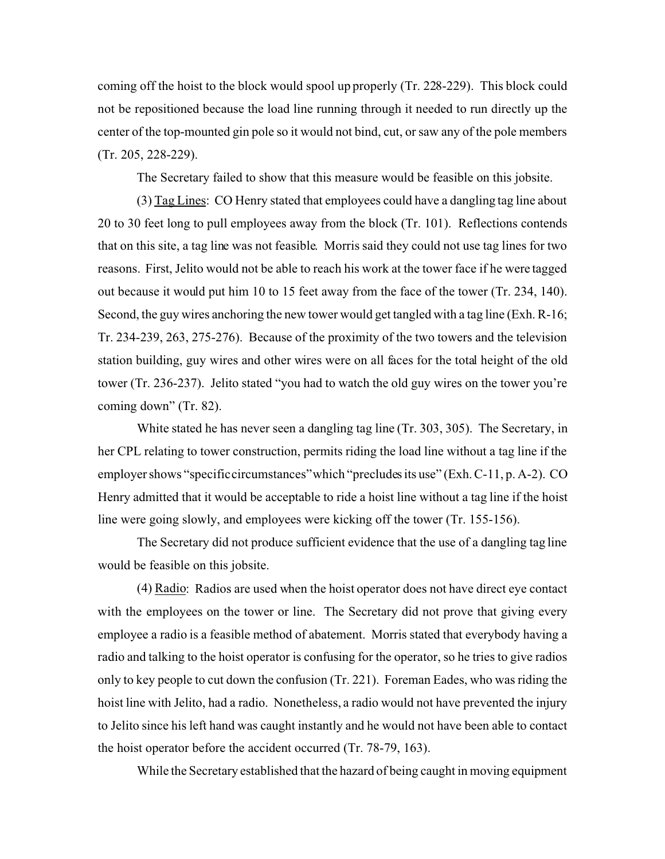coming off the hoist to the block would spool up properly (Tr. 228-229). This block could not be repositioned because the load line running through it needed to run directly up the center of the top-mounted gin pole so it would not bind, cut, or saw any of the pole members (Tr. 205, 228-229).

The Secretary failed to show that this measure would be feasible on this jobsite.

(3) Tag Lines: CO Henry stated that employees could have a dangling tag line about 20 to 30 feet long to pull employees away from the block (Tr. 101). Reflections contends that on this site, a tag line was not feasible. Morris said they could not use tag lines for two reasons. First, Jelito would not be able to reach his work at the tower face if he were tagged out because it would put him 10 to 15 feet away from the face of the tower (Tr. 234, 140). Second, the guy wires anchoring the new tower would get tangled with a tag line (Exh. R-16; Tr. 234-239, 263, 275-276). Because of the proximity of the two towers and the television station building, guy wires and other wires were on all faces for the total height of the old tower (Tr. 236-237). Jelito stated "you had to watch the old guy wires on the tower you're coming down" (Tr. 82).

White stated he has never seen a dangling tag line (Tr. 303, 305). The Secretary, in her CPL relating to tower construction, permits riding the load line without a tag line if the employer shows "specificcircumstances"which "precludes its use" (Exh. C-11, p. A-2). CO Henry admitted that it would be acceptable to ride a hoist line without a tag line if the hoist line were going slowly, and employees were kicking off the tower (Tr. 155-156).

The Secretary did not produce sufficient evidence that the use of a dangling tag line would be feasible on this jobsite.

(4) Radio: Radios are used when the hoist operator does not have direct eye contact with the employees on the tower or line. The Secretary did not prove that giving every employee a radio is a feasible method of abatement. Morris stated that everybody having a radio and talking to the hoist operator is confusing for the operator, so he tries to give radios only to key people to cut down the confusion (Tr. 221). Foreman Eades, who was riding the hoist line with Jelito, had a radio. Nonetheless, a radio would not have prevented the injury to Jelito since his left hand was caught instantly and he would not have been able to contact the hoist operator before the accident occurred (Tr. 78-79, 163).

While the Secretary established that the hazard of being caught in moving equipment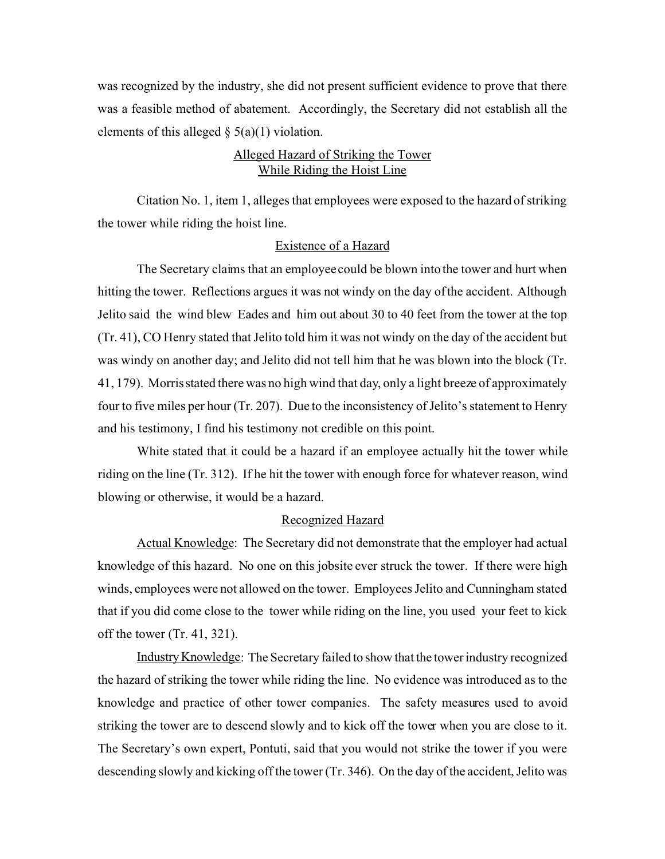was recognized by the industry, she did not present sufficient evidence to prove that there was a feasible method of abatement. Accordingly, the Secretary did not establish all the elements of this alleged  $\S$  5(a)(1) violation.

# Alleged Hazard of Striking the Tower While Riding the Hoist Line

Citation No. 1, item 1, alleges that employees were exposed to the hazard of striking the tower while riding the hoist line.

### Existence of a Hazard

The Secretary claims that an employee could be blown into the tower and hurt when hitting the tower. Reflections argues it was not windy on the day of the accident. Although Jelito said the wind blew Eades and him out about 30 to 40 feet from the tower at the top (Tr. 41), CO Henry stated that Jelito told him it was not windy on the day of the accident but was windy on another day; and Jelito did not tell him that he was blown into the block (Tr. 41, 179). Morris stated there was no high wind that day, only a light breeze of approximately four to five miles per hour (Tr. 207). Due to the inconsistency of Jelito's statement to Henry and his testimony, I find his testimony not credible on this point.

White stated that it could be a hazard if an employee actually hit the tower while riding on the line (Tr. 312). If he hit the tower with enough force for whatever reason, wind blowing or otherwise, it would be a hazard.

### Recognized Hazard

Actual Knowledge: The Secretary did not demonstrate that the employer had actual knowledge of this hazard. No one on this jobsite ever struck the tower. If there were high winds, employees were not allowed on the tower. Employees Jelito and Cunningham stated that if you did come close to the tower while riding on the line, you used your feet to kick off the tower (Tr. 41, 321).

Industry Knowledge: The Secretary failed to show that the tower industry recognized the hazard of striking the tower while riding the line. No evidence was introduced as to the knowledge and practice of other tower companies. The safety measures used to avoid striking the tower are to descend slowly and to kick off the tower when you are close to it. The Secretary's own expert, Pontuti, said that you would not strike the tower if you were descending slowly and kicking off the tower (Tr. 346). On the day of the accident, Jelito was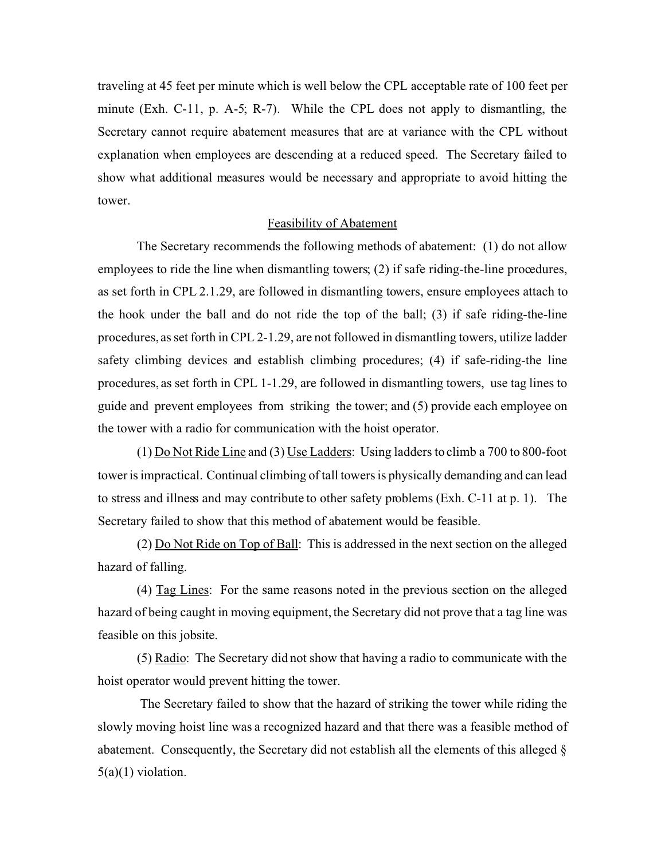traveling at 45 feet per minute which is well below the CPL acceptable rate of 100 feet per minute (Exh. C-11, p. A-5; R-7). While the CPL does not apply to dismantling, the Secretary cannot require abatement measures that are at variance with the CPL without explanation when employees are descending at a reduced speed. The Secretary failed to show what additional measures would be necessary and appropriate to avoid hitting the tower.

### Feasibility of Abatement

The Secretary recommends the following methods of abatement: (1) do not allow employees to ride the line when dismantling towers; (2) if safe riding-the-line procedures, as set forth in CPL 2.1.29, are followed in dismantling towers, ensure employees attach to the hook under the ball and do not ride the top of the ball; (3) if safe riding-the-line procedures, as set forth in CPL 2-1.29, are not followed in dismantling towers, utilize ladder safety climbing devices and establish climbing procedures; (4) if safe-riding-the line procedures, as set forth in CPL 1-1.29, are followed in dismantling towers, use tag lines to guide and prevent employees from striking the tower; and (5) provide each employee on the tower with a radio for communication with the hoist operator.

 $(1)$  Do Not Ride Line and  $(3)$  Use Ladders: Using ladders to climb a 700 to 800-foot tower is impractical. Continual climbing of tall towers is physically demanding and can lead to stress and illness and may contribute to other safety problems (Exh. C-11 at p. 1). The Secretary failed to show that this method of abatement would be feasible.

(2) Do Not Ride on Top of Ball: This is addressed in the next section on the alleged hazard of falling.

(4) Tag Lines: For the same reasons noted in the previous section on the alleged hazard of being caught in moving equipment, the Secretary did not prove that a tag line was feasible on this jobsite.

(5) Radio: The Secretary did not show that having a radio to communicate with the hoist operator would prevent hitting the tower.

The Secretary failed to show that the hazard of striking the tower while riding the slowly moving hoist line was a recognized hazard and that there was a feasible method of abatement. Consequently, the Secretary did not establish all the elements of this alleged §  $5(a)(1)$  violation.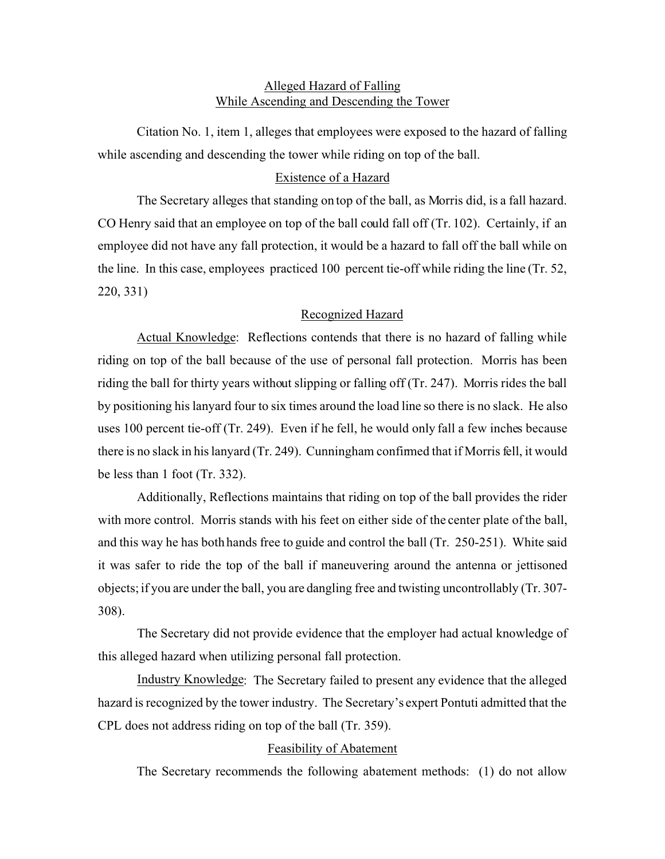## Alleged Hazard of Falling While Ascending and Descending the Tower

Citation No. 1, item 1, alleges that employees were exposed to the hazard of falling while ascending and descending the tower while riding on top of the ball.

## Existence of a Hazard

The Secretary alleges that standing on top of the ball, as Morris did, is a fall hazard. CO Henry said that an employee on top of the ball could fall off (Tr. 102). Certainly, if an employee did not have any fall protection, it would be a hazard to fall off the ball while on the line. In this case, employees practiced 100 percent tie-off while riding the line (Tr. 52, 220, 331)

### Recognized Hazard

Actual Knowledge: Reflections contends that there is no hazard of falling while riding on top of the ball because of the use of personal fall protection. Morris has been riding the ball for thirty years without slipping or falling off (Tr. 247). Morris rides the ball by positioning his lanyard four to six times around the load line so there is no slack. He also uses 100 percent tie-off (Tr. 249). Even if he fell, he would only fall a few inches because there is no slack in his lanyard (Tr. 249). Cunningham confirmed that if Morris fell, it would be less than 1 foot (Tr. 332).

Additionally, Reflections maintains that riding on top of the ball provides the rider with more control. Morris stands with his feet on either side of the center plate of the ball, and this way he has both hands free to guide and control the ball (Tr. 250-251). White said it was safer to ride the top of the ball if maneuvering around the antenna or jettisoned objects; if you are under the ball, you are dangling free and twisting uncontrollably (Tr. 307- 308).

The Secretary did not provide evidence that the employer had actual knowledge of this alleged hazard when utilizing personal fall protection.

Industry Knowledge: The Secretary failed to present any evidence that the alleged hazard is recognized by the tower industry. The Secretary's expert Pontuti admitted that the CPL does not address riding on top of the ball (Tr. 359).

### Feasibility of Abatement

The Secretary recommends the following abatement methods: (1) do not allow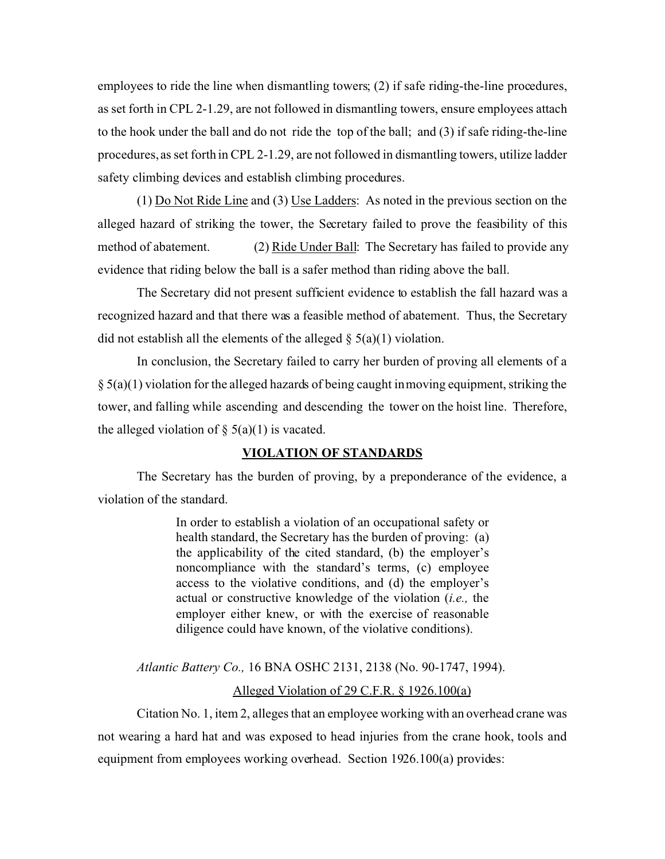employees to ride the line when dismantling towers; (2) if safe riding-the-line procedures, as set forth in CPL 2-1.29, are not followed in dismantling towers, ensure employees attach to the hook under the ball and do not ride the top of the ball; and (3) if safe riding-the-line procedures, as set forth in CPL 2-1.29, are not followed in dismantling towers, utilize ladder safety climbing devices and establish climbing procedures.

 $(1)$  Do Not Ride Line and  $(3)$  Use Ladders: As noted in the previous section on the alleged hazard of striking the tower, the Secretary failed to prove the feasibility of this method of abatement. (2) Ride Under Ball: The Secretary has failed to provide any evidence that riding below the ball is a safer method than riding above the ball.

The Secretary did not present sufficient evidence to establish the fall hazard was a recognized hazard and that there was a feasible method of abatement. Thus, the Secretary did not establish all the elements of the alleged  $\S$  5(a)(1) violation.

In conclusion, the Secretary failed to carry her burden of proving all elements of a  $\S$  5(a)(1) violation for the alleged hazards of being caught in moving equipment, striking the tower, and falling while ascending and descending the tower on the hoist line. Therefore, the alleged violation of  $\S$  5(a)(1) is vacated.

### **VIOLATION OF STANDARDS**

The Secretary has the burden of proving, by a preponderance of the evidence, a violation of the standard.

> In order to establish a violation of an occupational safety or health standard, the Secretary has the burden of proving: (a) the applicability of the cited standard, (b) the employer's noncompliance with the standard's terms, (c) employee access to the violative conditions, and (d) the employer's actual or constructive knowledge of the violation (*i.e.,* the employer either knew, or with the exercise of reasonable diligence could have known, of the violative conditions).

*Atlantic Battery Co.,* 16 BNA OSHC 2131, 2138 (No. 90-1747, 1994).

#### Alleged Violation of 29 C.F.R. § 1926.100(a)

Citation No. 1, item 2, alleges that an employee working with an overhead crane was not wearing a hard hat and was exposed to head injuries from the crane hook, tools and equipment from employees working overhead. Section 1926.100(a) provides: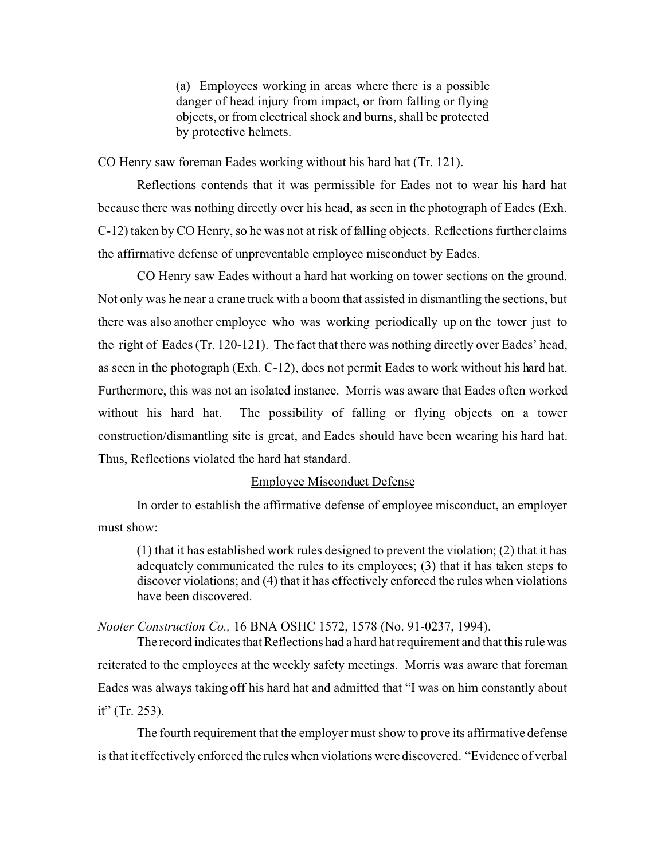(a) Employees working in areas where there is a possible danger of head injury from impact, or from falling or flying objects, or from electrical shock and burns, shall be protected by protective helmets.

CO Henry saw foreman Eades working without his hard hat (Tr. 121).

Reflections contends that it was permissible for Eades not to wear his hard hat because there was nothing directly over his head, as seen in the photograph of Eades (Exh. C-12) taken by CO Henry, so he was not at risk of falling objects. Reflections further claims the affirmative defense of unpreventable employee misconduct by Eades.

CO Henry saw Eades without a hard hat working on tower sections on the ground. Not only was he near a crane truck with a boom that assisted in dismantling the sections, but there was also another employee who was working periodically up on the tower just to the right of Eades (Tr. 120-121). The fact that there was nothing directly over Eades' head, as seen in the photograph (Exh. C-12), does not permit Eades to work without his hard hat. Furthermore, this was not an isolated instance. Morris was aware that Eades often worked without his hard hat. The possibility of falling or flying objects on a tower construction/dismantling site is great, and Eades should have been wearing his hard hat. Thus, Reflections violated the hard hat standard.

### Employee Misconduct Defense

In order to establish the affirmative defense of employee misconduct, an employer must show:

(1) that it has established work rules designed to prevent the violation; (2) that it has adequately communicated the rules to its employees; (3) that it has taken steps to discover violations; and (4) that it has effectively enforced the rules when violations have been discovered.

*Nooter Construction Co.,* 16 BNA OSHC 1572, 1578 (No. 91-0237, 1994).

The record indicates that Reflections had a hard hat requirement and that this rule was reiterated to the employees at the weekly safety meetings. Morris was aware that foreman Eades was always taking off his hard hat and admitted that "I was on him constantly about it" (Tr. 253).

The fourth requirement that the employer must show to prove its affirmative defense is that it effectively enforced the rules when violations were discovered. "Evidence of verbal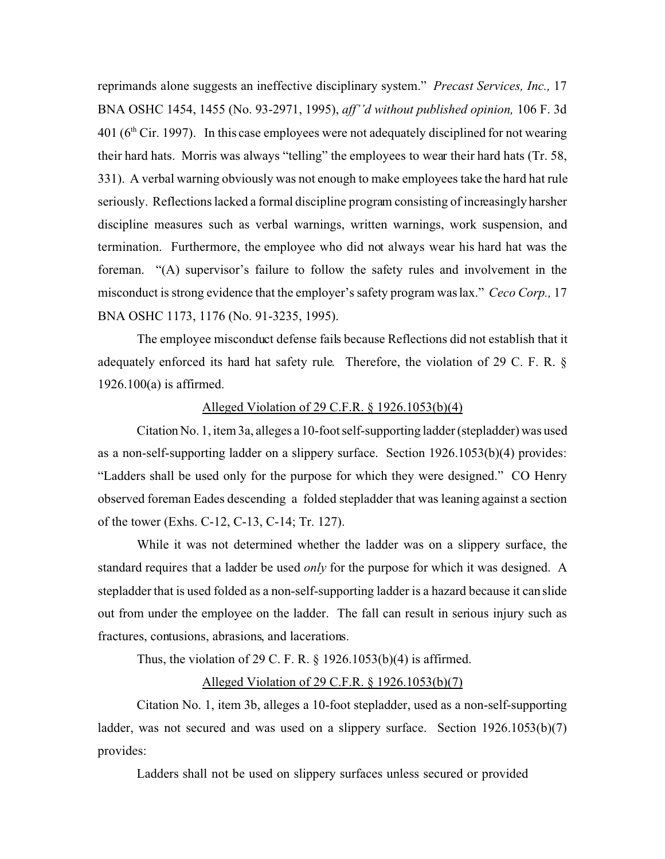reprimands alone suggests an ineffective disciplinary system." *Precast Services, Inc.,* 17 BNA OSHC 1454, 1455 (No. 93-2971, 1995), *aff''d without published opinion,* 106 F. 3d  $401 (6<sup>th</sup> Cir. 1997)$ . In this case employees were not adequately disciplined for not wearing their hard hats. Morris was always "telling" the employees to wear their hard hats (Tr. 58, 331). A verbal warning obviously was not enough to make employees take the hard hat rule seriously. Reflections lacked a formal discipline program consisting of increasingly harsher discipline measures such as verbal warnings, written warnings, work suspension, and termination. Furthermore, the employee who did not always wear his hard hat was the foreman. "(A) supervisor's failure to follow the safety rules and involvement in the misconduct is strong evidence that the employer's safety program was lax." *Ceco Corp.,* 17 BNA OSHC 1173, 1176 (No. 91-3235, 1995).

The employee misconduct defense fails because Reflections did not establish that it adequately enforced its hard hat safety rule. Therefore, the violation of 29 C. F. R. § 1926.100(a) is affirmed.

### Alleged Violation of 29 C.F.R. § 1926.1053(b)(4)

Citation No. 1, item 3a, alleges a 10-foot self-supporting ladder (stepladder) was used as a non-self-supporting ladder on a slippery surface. Section 1926.1053(b)(4) provides: "Ladders shall be used only for the purpose for which they were designed." CO Henry observed foreman Eades descending a folded stepladder that was leaning against a section of the tower (Exhs. C-12, C-13, C-14; Tr. 127).

While it was not determined whether the ladder was on a slippery surface, the standard requires that a ladder be used *only* for the purpose for which it was designed. A stepladder that is used folded as a non-self-supporting ladder is a hazard because it can slide out from under the employee on the ladder. The fall can result in serious injury such as fractures, contusions, abrasions, and lacerations.

Thus, the violation of 29 C. F. R. § 1926.1053(b)(4) is affirmed.

### Alleged Violation of 29 C.F.R. § 1926.1053(b)(7)

Citation No. 1, item 3b, alleges a 10-foot stepladder, used as a non-self-supporting ladder, was not secured and was used on a slippery surface. Section 1926.1053(b)(7) provides:

Ladders shall not be used on slippery surfaces unless secured or provided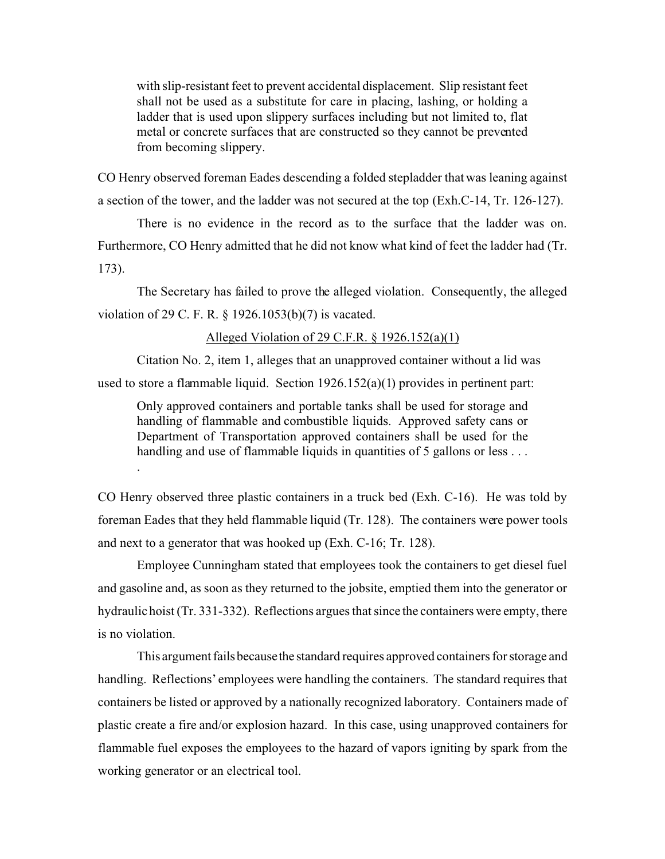with slip-resistant feet to prevent accidental displacement. Slip resistant feet shall not be used as a substitute for care in placing, lashing, or holding a ladder that is used upon slippery surfaces including but not limited to, flat metal or concrete surfaces that are constructed so they cannot be prevented from becoming slippery.

CO Henry observed foreman Eades descending a folded stepladder that was leaning against a section of the tower, and the ladder was not secured at the top (Exh.C-14, Tr. 126-127).

There is no evidence in the record as to the surface that the ladder was on. Furthermore, CO Henry admitted that he did not know what kind of feet the ladder had (Tr. 173).

The Secretary has failed to prove the alleged violation. Consequently, the alleged violation of 29 C. F. R. § 1926.1053(b)(7) is vacated.

### Alleged Violation of 29 C.F.R. § 1926.152(a)(1)

Citation No. 2, item 1, alleges that an unapproved container without a lid was used to store a flammable liquid. Section  $1926.152(a)(1)$  provides in pertinent part:

.

Only approved containers and portable tanks shall be used for storage and handling of flammable and combustible liquids. Approved safety cans or Department of Transportation approved containers shall be used for the handling and use of flammable liquids in quantities of 5 gallons or less ...

CO Henry observed three plastic containers in a truck bed (Exh. C-16). He was told by foreman Eades that they held flammable liquid (Tr. 128). The containers were power tools and next to a generator that was hooked up (Exh. C-16; Tr. 128).

Employee Cunningham stated that employees took the containers to get diesel fuel and gasoline and, as soon as they returned to the jobsite, emptied them into the generator or hydraulic hoist (Tr. 331-332). Reflections argues that since the containers were empty, there is no violation.

This argument fails because the standard requires approved containers for storage and handling. Reflections' employees were handling the containers. The standard requires that containers be listed or approved by a nationally recognized laboratory. Containers made of plastic create a fire and/or explosion hazard. In this case, using unapproved containers for flammable fuel exposes the employees to the hazard of vapors igniting by spark from the working generator or an electrical tool.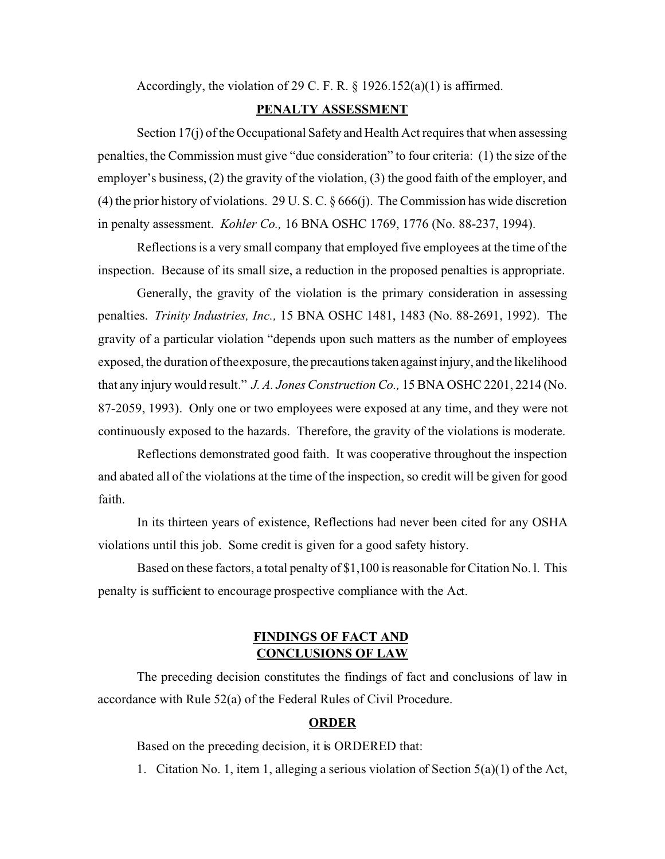Accordingly, the violation of 29 C. F. R. § 1926.152(a)(1) is affirmed.

### **PENALTY ASSESSMENT**

Section 17(j) of the Occupational Safety and Health Act requires that when assessing penalties, the Commission must give "due consideration" to four criteria: (1) the size of the employer's business, (2) the gravity of the violation, (3) the good faith of the employer, and (4) the prior history of violations. 29 U. S. C. § 666(j). The Commission has wide discretion in penalty assessment. *Kohler Co.,* 16 BNA OSHC 1769, 1776 (No. 88-237, 1994).

Reflections is a very small company that employed five employees at the time of the inspection. Because of its small size, a reduction in the proposed penalties is appropriate.

Generally, the gravity of the violation is the primary consideration in assessing penalties. *Trinity Industries, Inc.,* 15 BNA OSHC 1481, 1483 (No. 88-2691, 1992). The gravity of a particular violation "depends upon such matters as the number of employees exposed, the duration of theexposure, the precautionstaken against injury, and the likelihood that any injury would result." *J. A. Jones Construction Co.,* 15 BNA OSHC 2201, 2214 (No. 87-2059, 1993). Only one or two employees were exposed at any time, and they were not continuously exposed to the hazards. Therefore, the gravity of the violations is moderate.

Reflections demonstrated good faith. It was cooperative throughout the inspection and abated all of the violations at the time of the inspection, so credit will be given for good faith.

In its thirteen years of existence, Reflections had never been cited for any OSHA violations until this job. Some credit is given for a good safety history.

Based on these factors, a total penalty of \$1,100 is reasonable for Citation No. l. This penalty is sufficient to encourage prospective compliance with the Act.

# **FINDINGS OF FACT AND CONCLUSIONS OF LAW**

The preceding decision constitutes the findings of fact and conclusions of law in accordance with Rule 52(a) of the Federal Rules of Civil Procedure.

### **ORDER**

Based on the preceding decision, it is ORDERED that:

1. Citation No. 1, item 1, alleging a serious violation of Section 5(a)(1) of the Act,